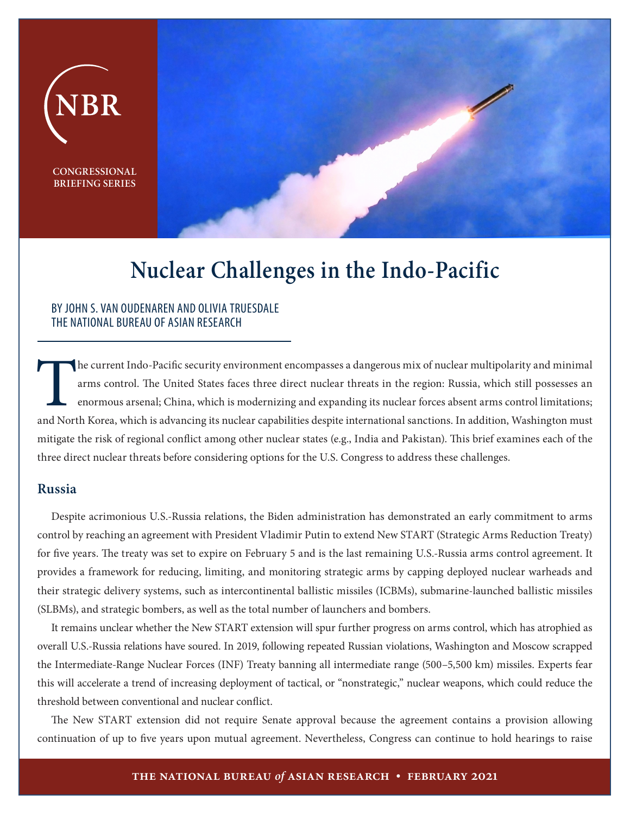

# **Nuclear Challenges in the Indo-Pacific**

#### BY JOHN S. VAN OUDENAREN AND OLIVIA TRUESDALE THE NATIONAL BUREAU OF ASIAN RESEARCH

The current Indo-Pacific security environment encompasses a dangerous mix of nuclear multipolarity and minimal arms control. The United States faces three direct nuclear threats in the region: Russia, which still possesses an enormous arsenal; China, which is modernizing and expanding its nuclear forces absent arms control limitations; and North Korea, which is advancing its nuclear capabilities despite international sanctions. In addition, Washington must mitigate the risk of regional conflict among other nuclear states (e.g., India and Pakistan). This brief examines each of the three direct nuclear threats before considering options for the U.S. Congress to address these challenges.

## **Russia**

Despite acrimonious U.S.-Russia relations, the Biden administration has demonstrated an early commitment to arms control by reaching an agreement with President Vladimir Putin to extend New START (Strategic Arms Reduction Treaty) for five years. The treaty was set to expire on February 5 and is the last remaining U.S.-Russia arms control agreement. It provides a framework for reducing, limiting, and monitoring strategic arms by capping deployed nuclear warheads and their strategic delivery systems, such as intercontinental ballistic missiles (ICBMs), submarine-launched ballistic missiles (SLBMs), and strategic bombers, as well as the total number of launchers and bombers.

It remains unclear whether the New START extension will spur further progress on arms control, which has atrophied as overall U.S.-Russia relations have soured. In 2019, following repeated Russian violations, Washington and Moscow scrapped the Intermediate-Range Nuclear Forces (INF) Treaty banning all intermediate range (500–5,500 km) missiles. Experts fear this will accelerate a trend of increasing deployment of tactical, or "nonstrategic," nuclear weapons, which could reduce the threshold between conventional and nuclear conflict.

The New START extension did not require Senate approval because the agreement contains a provision allowing continuation of up to five years upon mutual agreement. Nevertheless, Congress can continue to hold hearings to raise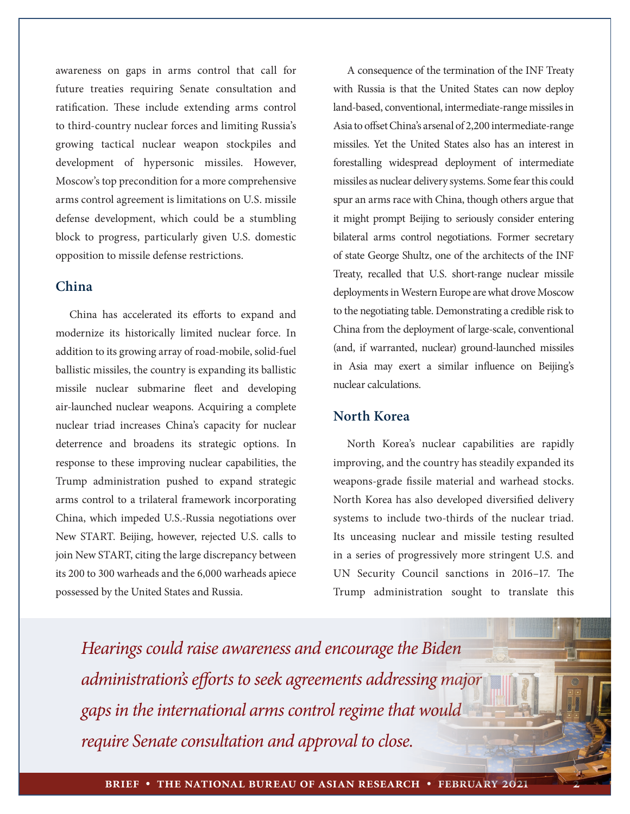awareness on gaps in arms control that call for future treaties requiring Senate consultation and ratification. These include extending arms control to third-country nuclear forces and limiting Russia's growing tactical nuclear weapon stockpiles and development of hypersonic missiles. However, Moscow's top precondition for a more comprehensive arms control agreement is limitations on U.S. missile defense development, which could be a stumbling block to progress, particularly given U.S. domestic opposition to missile defense restrictions.

## **China**

China has accelerated its efforts to expand and modernize its historically limited nuclear force. In addition to its growing array of road-mobile, solid-fuel ballistic missiles, the country is expanding its ballistic missile nuclear submarine fleet and developing air-launched nuclear weapons. Acquiring a complete nuclear triad increases China's capacity for nuclear deterrence and broadens its strategic options. In response to these improving nuclear capabilities, the Trump administration pushed to expand strategic arms control to a trilateral framework incorporating China, which impeded U.S.-Russia negotiations over New START. Beijing, however, rejected U.S. calls to join New START, citing the large discrepancy between its 200 to 300 warheads and the 6,000 warheads apiece possessed by the United States and Russia.

A consequence of the termination of the INF Treaty with Russia is that the United States can now deploy land-based, conventional, intermediate-range missiles in Asia to offset China's arsenal of 2,200 intermediate-range missiles. Yet the United States also has an interest in forestalling widespread deployment of intermediate missiles as nuclear delivery systems. Some fear this could spur an arms race with China, though others argue that it might prompt Beijing to seriously consider entering bilateral arms control negotiations. Former secretary of state George Shultz, one of the architects of the INF Treaty, recalled that U.S. short-range nuclear missile deployments in Western Europe are what drove Moscow to the negotiating table. Demonstrating a credible risk to China from the deployment of large-scale, conventional (and, if warranted, nuclear) ground-launched missiles in Asia may exert a similar influence on Beijing's nuclear calculations.

#### **North Korea**

North Korea's nuclear capabilities are rapidly improving, and the country has steadily expanded its weapons-grade fissile material and warhead stocks. North Korea has also developed diversified delivery systems to include two-thirds of the nuclear triad. Its unceasing nuclear and missile testing resulted in a series of progressively more stringent U.S. and UN Security Council sanctions in 2016–17. The Trump administration sought to translate this

*Hearings could raise awareness and encourage the Biden administration's efforts to seek agreements addressing major gaps in the international arms control regime that would require Senate consultation and approval to close.*